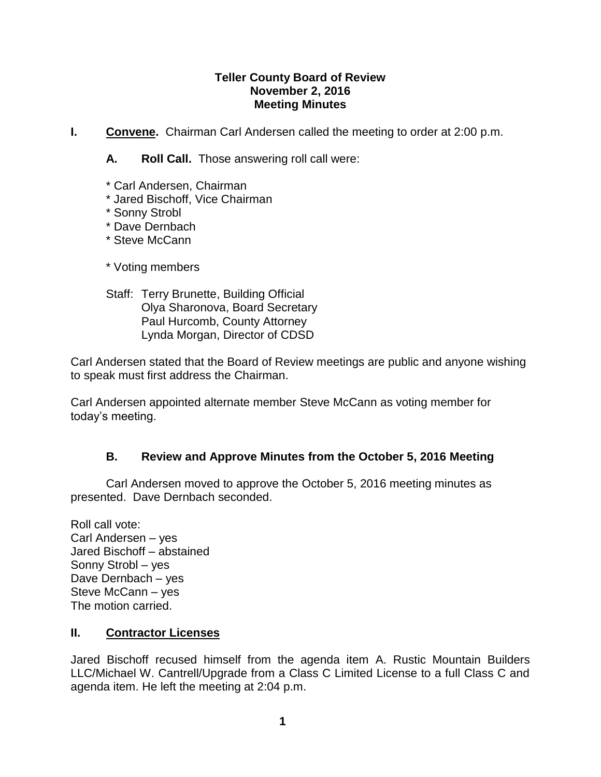### **Teller County Board of Review November 2, 2016 Meeting Minutes**

**I.** Convene. Chairman Carl Andersen called the meeting to order at 2:00 p.m.

**A. Roll Call.** Those answering roll call were:

- \* Carl Andersen, Chairman
- \* Jared Bischoff, Vice Chairman
- \* Sonny Strobl
- \* Dave Dernbach
- \* Steve McCann
- \* Voting members
- Staff: Terry Brunette, Building Official Olya Sharonova, Board Secretary Paul Hurcomb, County Attorney Lynda Morgan, Director of CDSD

Carl Andersen stated that the Board of Review meetings are public and anyone wishing to speak must first address the Chairman.

Carl Andersen appointed alternate member Steve McCann as voting member for today's meeting.

# **B. Review and Approve Minutes from the October 5, 2016 Meeting**

Carl Andersen moved to approve the October 5, 2016 meeting minutes as presented. Dave Dernbach seconded.

Roll call vote: Carl Andersen – yes Jared Bischoff – abstained Sonny Strobl – yes Dave Dernbach – yes Steve McCann – yes The motion carried.

# **II. Contractor Licenses**

Jared Bischoff recused himself from the agenda item A. Rustic Mountain Builders LLC/Michael W. Cantrell/Upgrade from a Class C Limited License to a full Class C and agenda item. He left the meeting at 2:04 p.m.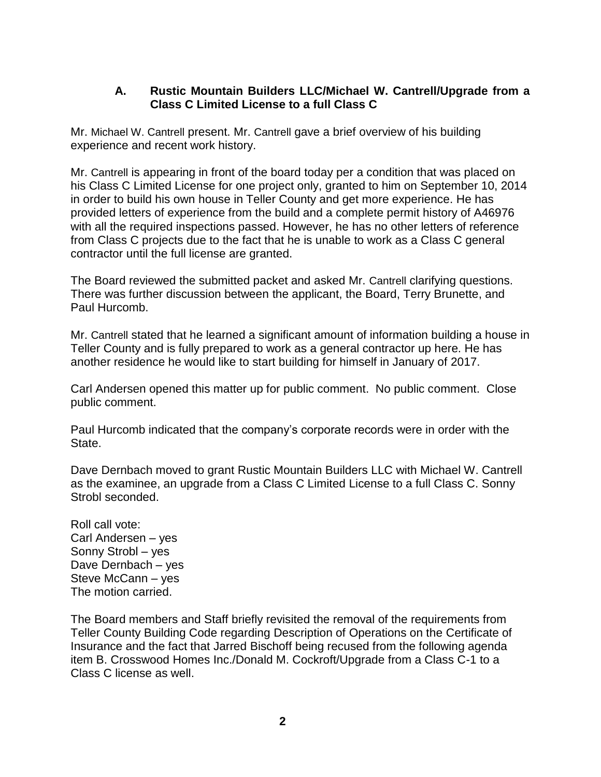## **A. Rustic Mountain Builders LLC/Michael W. Cantrell/Upgrade from a Class C Limited License to a full Class C**

Mr. Michael W. Cantrell present. Mr. Cantrell gave a brief overview of his building experience and recent work history.

Mr. Cantrell is appearing in front of the board today per a condition that was placed on his Class C Limited License for one project only, granted to him on September 10, 2014 in order to build his own house in Teller County and get more experience. He has provided letters of experience from the build and a complete permit history of A46976 with all the required inspections passed. However, he has no other letters of reference from Class C projects due to the fact that he is unable to work as a Class C general contractor until the full license are granted.

The Board reviewed the submitted packet and asked Mr. Cantrell clarifying questions. There was further discussion between the applicant, the Board, Terry Brunette, and Paul Hurcomb.

Mr. Cantrell stated that he learned a significant amount of information building a house in Teller County and is fully prepared to work as a general contractor up here. He has another residence he would like to start building for himself in January of 2017.

Carl Andersen opened this matter up for public comment. No public comment. Close public comment.

Paul Hurcomb indicated that the company's corporate records were in order with the State.

Dave Dernbach moved to grant Rustic Mountain Builders LLC with Michael W. Cantrell as the examinee, an upgrade from a Class C Limited License to a full Class C. Sonny Strobl seconded.

Roll call vote: Carl Andersen – yes Sonny Strobl – yes Dave Dernbach – yes Steve McCann – yes The motion carried.

The Board members and Staff briefly revisited the removal of the requirements from Teller County Building Code regarding Description of Operations on the Certificate of Insurance and the fact that Jarred Bischoff being recused from the following agenda item B. Crosswood Homes Inc./Donald M. Cockroft/Upgrade from a Class C-1 to a Class C license as well.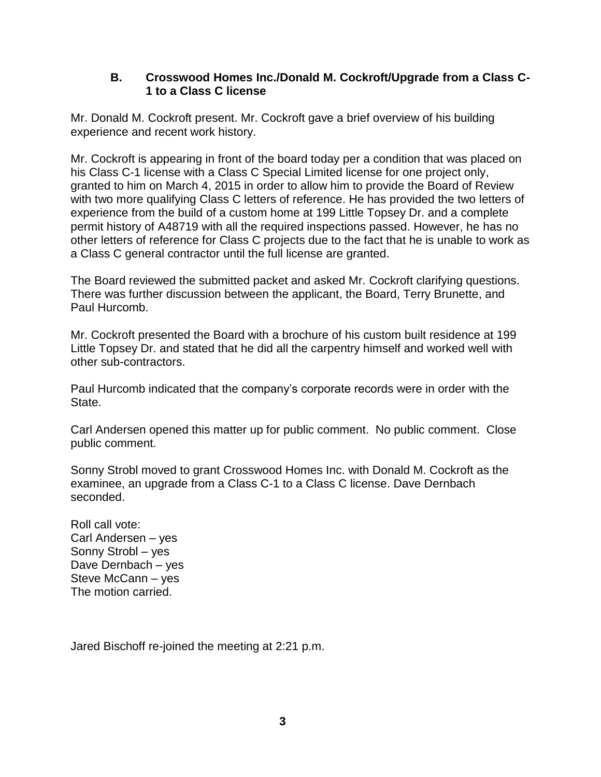### **B. Crosswood Homes Inc./Donald M. Cockroft/Upgrade from a Class C-1 to a Class C license**

Mr. Donald M. Cockroft present. Mr. Cockroft gave a brief overview of his building experience and recent work history.

Mr. Cockroft is appearing in front of the board today per a condition that was placed on his Class C-1 license with a Class C Special Limited license for one project only, granted to him on March 4, 2015 in order to allow him to provide the Board of Review with two more qualifying Class C letters of reference. He has provided the two letters of experience from the build of a custom home at 199 Little Topsey Dr. and a complete permit history of A48719 with all the required inspections passed. However, he has no other letters of reference for Class C projects due to the fact that he is unable to work as a Class C general contractor until the full license are granted.

The Board reviewed the submitted packet and asked Mr. Cockroft clarifying questions. There was further discussion between the applicant, the Board, Terry Brunette, and Paul Hurcomb.

Mr. Cockroft presented the Board with a brochure of his custom built residence at 199 Little Topsey Dr. and stated that he did all the carpentry himself and worked well with other sub-contractors.

Paul Hurcomb indicated that the company's corporate records were in order with the State.

Carl Andersen opened this matter up for public comment. No public comment. Close public comment.

Sonny Strobl moved to grant Crosswood Homes Inc. with Donald M. Cockroft as the examinee, an upgrade from a Class C-1 to a Class C license. Dave Dernbach seconded.

Roll call vote: Carl Andersen – yes Sonny Strobl – yes Dave Dernbach – yes Steve McCann – yes The motion carried.

Jared Bischoff re-joined the meeting at 2:21 p.m.